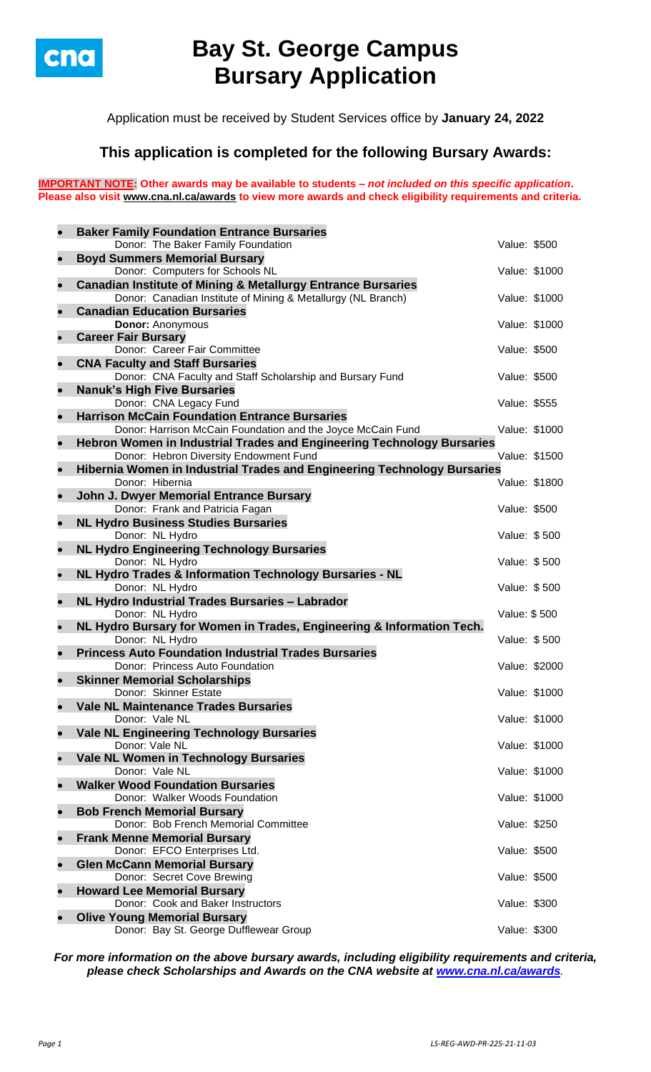

# **Bay St. George Campus Bursary Application**

Application must be received by Student Services office by **January 24, 2022**

## **This application is completed for the following Bursary Awards:**

**IMPORTANT NOTE: Other awards may be available to students –** *not included on this specific application***. Please also visit [www.cna.nl.ca/awards](http://www.cna.nl.ca/awards) to view more awards and check eligibility requirements and criteria.**

|           | <b>Baker Family Foundation Entrance Bursaries</b>                              |               |               |
|-----------|--------------------------------------------------------------------------------|---------------|---------------|
|           | Donor: The Baker Family Foundation                                             | Value: \$500  |               |
| $\bullet$ | <b>Boyd Summers Memorial Bursary</b>                                           |               |               |
|           | Donor: Computers for Schools NL                                                |               | Value: \$1000 |
| $\bullet$ | <b>Canadian Institute of Mining &amp; Metallurgy Entrance Bursaries</b>        |               |               |
|           | Donor: Canadian Institute of Mining & Metallurgy (NL Branch)                   | Value: \$1000 |               |
| $\bullet$ | <b>Canadian Education Bursaries</b>                                            |               |               |
|           | <b>Donor: Anonymous</b><br><b>Career Fair Bursary</b>                          | Value: \$1000 |               |
| $\bullet$ | Donor: Career Fair Committee                                                   | Value: \$500  |               |
| $\bullet$ | <b>CNA Faculty and Staff Bursaries</b>                                         |               |               |
|           | Donor: CNA Faculty and Staff Scholarship and Bursary Fund                      | Value: \$500  |               |
| $\bullet$ | <b>Nanuk's High Five Bursaries</b>                                             |               |               |
|           | Donor: CNA Legacy Fund                                                         | Value: \$555  |               |
| $\bullet$ | <b>Harrison McCain Foundation Entrance Bursaries</b>                           |               |               |
|           | Donor: Harrison McCain Foundation and the Joyce McCain Fund                    | Value: \$1000 |               |
| $\bullet$ | Hebron Women in Industrial Trades and Engineering Technology Bursaries         |               |               |
|           | Donor: Hebron Diversity Endowment Fund                                         | Value: \$1500 |               |
| $\bullet$ | Hibernia Women in Industrial Trades and Engineering Technology Bursaries       |               |               |
|           | Donor: Hibernia                                                                | Value: \$1800 |               |
| $\bullet$ | John J. Dwyer Memorial Entrance Bursary                                        |               |               |
|           | Donor: Frank and Patricia Fagan                                                | Value: \$500  |               |
| $\bullet$ | <b>NL Hydro Business Studies Bursaries</b><br>Donor: NL Hydro                  | Value: \$500  |               |
| $\bullet$ | <b>NL Hydro Engineering Technology Bursaries</b>                               |               |               |
|           | Donor: NL Hydro                                                                | Value: \$500  |               |
| $\bullet$ | NL Hydro Trades & Information Technology Bursaries - NL                        |               |               |
|           | Donor: NL Hydro                                                                | Value: \$500  |               |
| $\bullet$ | NL Hydro Industrial Trades Bursaries - Labrador                                |               |               |
|           | Donor: NL Hydro                                                                | Value: \$500  |               |
| $\bullet$ | NL Hydro Bursary for Women in Trades, Engineering & Information Tech.          |               |               |
|           | Donor: NL Hydro<br><b>Princess Auto Foundation Industrial Trades Bursaries</b> | Value: \$500  |               |
| $\bullet$ | Donor: Princess Auto Foundation                                                |               | Value: \$2000 |
| $\bullet$ | <b>Skinner Memorial Scholarships</b>                                           |               |               |
|           | Donor: Skinner Estate                                                          |               | Value: \$1000 |
|           | <b>Vale NL Maintenance Trades Bursaries</b>                                    |               |               |
|           | Donor: Vale NL                                                                 |               | Value: \$1000 |
| $\bullet$ | <b>Vale NL Engineering Technology Bursaries</b>                                |               |               |
|           | Donor: Vale NL                                                                 |               | Value: \$1000 |
| $\bullet$ | Vale NL Women in Technology Bursaries                                          |               |               |
|           | Donor: Vale NL                                                                 |               | Value: \$1000 |
| $\bullet$ | <b>Walker Wood Foundation Bursaries</b><br>Donor: Walker Woods Foundation      | Value: \$1000 |               |
| $\bullet$ | <b>Bob French Memorial Bursary</b>                                             |               |               |
|           | Donor: Bob French Memorial Committee                                           | Value: \$250  |               |
| $\bullet$ | <b>Frank Menne Memorial Bursary</b>                                            |               |               |
|           | Donor: EFCO Enterprises Ltd.                                                   | Value: \$500  |               |
| $\bullet$ | <b>Glen McCann Memorial Bursary</b>                                            |               |               |
|           | Donor: Secret Cove Brewing                                                     | Value: \$500  |               |
| $\bullet$ | <b>Howard Lee Memorial Bursary</b>                                             |               |               |
|           | Donor: Cook and Baker Instructors                                              | Value: \$300  |               |
| $\bullet$ | <b>Olive Young Memorial Bursary</b>                                            |               |               |
|           | Donor: Bay St. George Dufflewear Group                                         | Value: \$300  |               |

*For more information on the above bursary awards, including eligibility requirements and criteria, please check Scholarships and Awards on the CNA website at [www.cna.nl.ca/awards](http://www.cna.nl.ca/awards).*